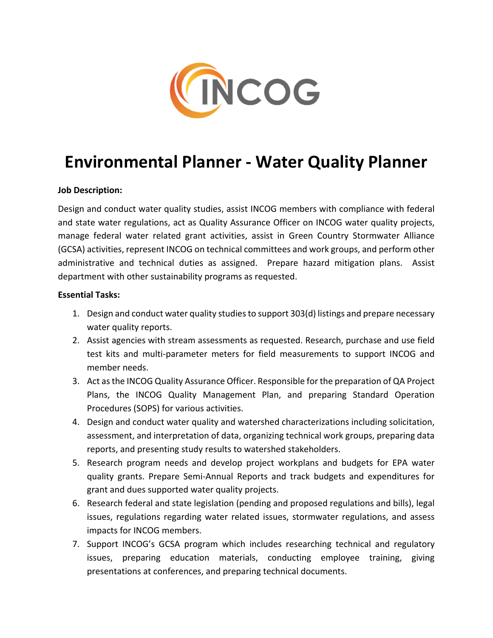

# **Environmental Planner ‐ Water Quality Planner**

## **Job Description:**

Design and conduct water quality studies, assist INCOG members with compliance with federal and state water regulations, act as Quality Assurance Officer on INCOG water quality projects, manage federal water related grant activities, assist in Green Country Stormwater Alliance (GCSA) activities, represent INCOG on technical committees and work groups, and perform other administrative and technical duties as assigned. Prepare hazard mitigation plans. Assist department with other sustainability programs as requested.

#### **Essential Tasks:**

- 1. Design and conduct water quality studiesto support 303(d) listings and prepare necessary water quality reports.
- 2. Assist agencies with stream assessments as requested. Research, purchase and use field test kits and multi-parameter meters for field measurements to support INCOG and member needs.
- 3. Act as the INCOG Quality Assurance Officer. Responsible for the preparation of QA Project Plans, the INCOG Quality Management Plan, and preparing Standard Operation Procedures (SOPS) for various activities.
- 4. Design and conduct water quality and watershed characterizations including solicitation, assessment, and interpretation of data, organizing technical work groups, preparing data reports, and presenting study results to watershed stakeholders.
- 5. Research program needs and develop project workplans and budgets for EPA water quality grants. Prepare Semi‐Annual Reports and track budgets and expenditures for grant and dues supported water quality projects.
- 6. Research federal and state legislation (pending and proposed regulations and bills), legal issues, regulations regarding water related issues, stormwater regulations, and assess impacts for INCOG members.
- 7. Support INCOG's GCSA program which includes researching technical and regulatory issues, preparing education materials, conducting employee training, giving presentations at conferences, and preparing technical documents.